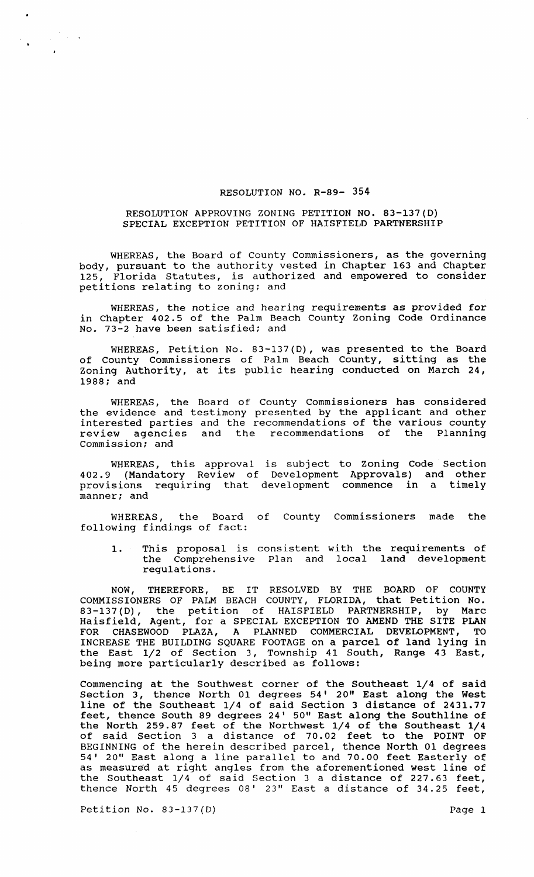### RESOLUTION NO. R-89- 354

### RESOLUTION APPROVING ZONING PETITION NO. 83-137(D) SPECIAL EXCEPTION PETITION OF HAISFIELD PARTNERSHIP

WHEREAS, the Board of County Commissioners, as the governing body, pursuant to the authority vested in Chapter 163 and Chapter Florida Statutes, is authorized and empowered to consider petitions relating to zoning; and

WHEREAS, the notice and hearing requirements as provided for in chapter 402.5 of the Palm Beach County Zoning Code Ordinance No. 73-2 have been satisfied; and

WHEREAS, Petition No. 83-137(D), was presented to the Board of County Commissioners of Palm Beach County, sitting as the Zoning Authority, at its public hearing conducted on March 24, 1988; and

WHEREAS, the Board of County Commissioners has considered the evidence and testimony presented by the applicant and other interested parties and the recommendations of the various county review agencies and the recommendations of the Planning commission; and

WHEREAS, this approval is subject to Zoning Code Section 402.9 (Mandatory Review of Development Approvals) and other provisions requiring that development commence in a timely manner; and

WHEREAS, the Board of County Commissioners made the following findings of fact:

1. This proposal is consistent with the requirements of the Comprehensive Plan and local land development regulations.

NOW, THEREFORE, BE IT RESOLVED BY THE BOARD OF COUNTY COMMISSIONERS OF PALM BEACH COUNTY, FLORIDA, that Petition No. 83-137(D), the petition of HAISFIELD PARTNERSHIP, by Marc Haisfield, Agent, for a SPECIAL EXCEPTION TO AMEND THE SITE PLAN FOR CHASEWOOD PLAZA, A PLANNED COMMERCIAL DEVELOPMENT, TO INCREASE THE BUILDING SQUARE FOOTAGE on a parcel of land lying in the East 1/2 of section 3, Township 41 South, Range 43 East, being more particularly described as follows:

Commencing at the Southwest corner of the Southeast 1/4 of said section 3, thence North 01 degrees 54' 20" East along the West line of the Southeast 1/4 of said section 3 distance of 2431.77 feet, thence South 89 degrees 24' 50" East along the Southline of the North 259.87 feet of the Northwest 1/4 of the Southeast 1/4 of said section 3 a distance of 70.02 feet to the POINT OF BEGINNING of the herein described parcel, thence North 01 degrees 54' 20" East along a line parallel to and 70.00 feet Easterly of as measured at right angles from the aforementioned west line of the Southeast 1/4 of said section 3 a distance of 227.63 feet, thence North 45 degrees 08' 23" East a distance of 34.25 feet,

Petition No. 83-137(D) Page 1

 $\label{eq:2} \frac{1}{\sqrt{2\pi}}\int_{0}^{\frac{\pi}{2}}\frac{dx}{\sqrt{2\pi}}\,dx$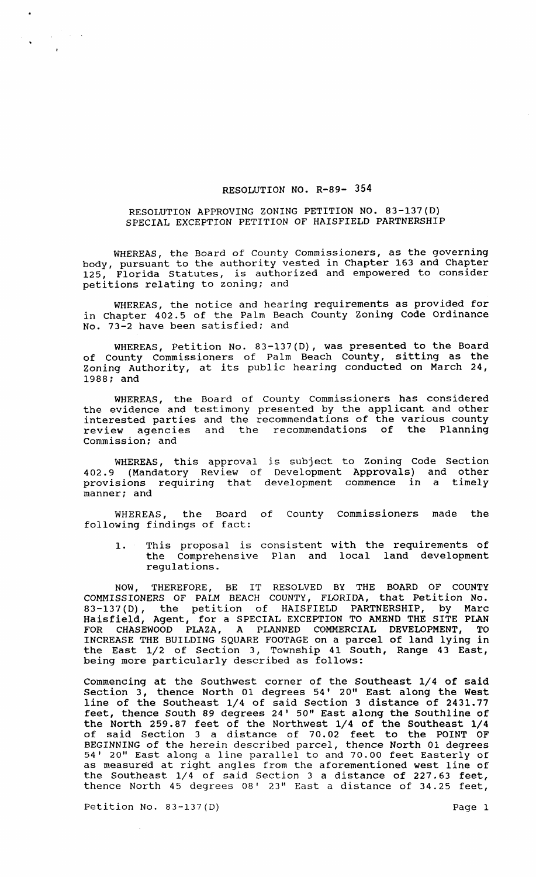### RESOLUTION NO. R-89- 354

### RESOLUTION APPROVING ZONING PETITION NO. 83-137(0) SPECIAL EXCEPTION PETITION OF HAISFIELD PARTNERSHIP

WHEREAS, the Board of County Commissioners, as the governing body, pursuant to the authority vested in Chapter 163 and Chapter 125, Florida Statutes, is authorized and empowered to consider petitions relating to zoning; and

WHEREAS, the notice and hearing requirements as provided for in Chapter 402.5 of the Palm Beach County Zoning Code Ordinance No. 73-2 have been satisfied; and

WHEREAS, Petition No. 83-137(0), was presented to the Board of County Commissioners of Palm Beach County, sitting as the of County Commissioners of fulm beach County, Sitting as the 1988; and

WHEREAS, the Board of County Commissioners has considered the evidence and testimony presented by the applicant and other interested parties and the recommendations of the various county review agencies and the recommendations of the Planning commission; and

WHEREAS, this approval is subject to Zoning Code Section 402.9 (Mandatory Review of Development Approvals) and other provisions requiring that development commence in a timely manner; and

WHEREAS, the Board of County commissioners made the following findings of fact:

1. This proposal is consistent with the requirements of the Comprehensive Plan and local land development regulations.

NOW, THEREFORE, BE IT RESOLVED BY THE BOARD OF COUNTY COMMISSIONERS OF PALM BEACH COUNTY, FLORIDA, that Petition No. 83-137(D), the petition of HAISFIELD PARTNERSHIP, by Marc Haisfield, Agent, for a SPECIAL EXCEPTION TO AMEND THE SITE PLAN FOR CHASEWOOD PLAZA, A PLANNED COMMERCIAL DEVELOPMENT, TO INCREASE THE BUILDING SQUARE FOOTAGE on a parcel of land lying in the East 1/2 of section 3, Township 41 South, Range 43 East, being more particularly described as follows:

Commencing at the Southwest corner of the Southeast 1/4 of said section 3, thence North 01 degrees 54' 20" East along the West line of the Southeast 1/4 of said Section 3 distance of 2431.77 feet, thence South 89 degrees 24' 50" East along the Southline of the North 259.87 feet of the Northwest 1/4 of the Southeast 1/4 of said section 3 a distance of 70.02 feet to the POINT OF BEGINNING of the herein described parcel, thence North 01 degrees 54' 20" East along a line parallel to and 70.00 feet Easterly of as measured at right angles from the aforementioned west line of the Southeast 1/4 of said section 3 a distance of 227.63 feet, thence North 45 degrees 08' 23" East a distance of 34.25 feet,

Petition No. 83-137(D) Petition No. 83-137(D)

 $\label{eq:2} \frac{1}{\sqrt{2\pi}}\int_{0}^{\infty}\frac{d\mu}{\lambda}d\mu\,d\mu\,d\mu\,.$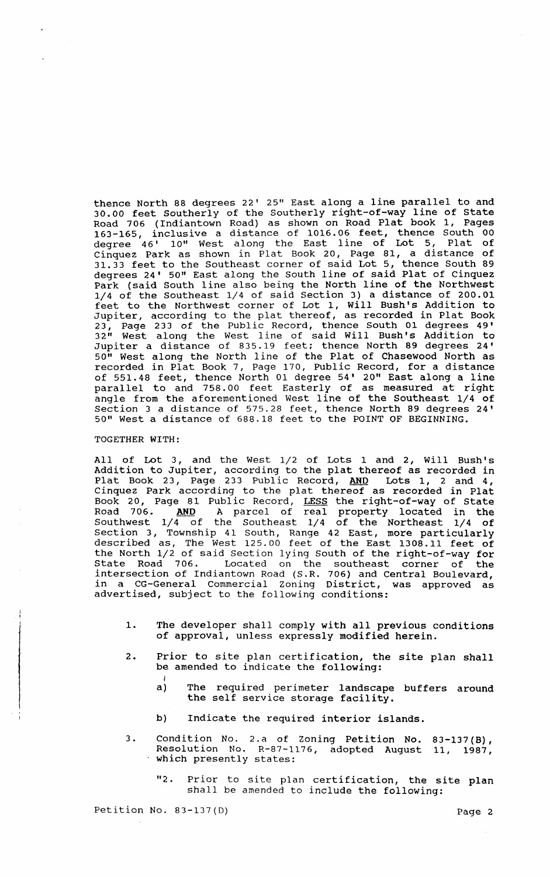thence North 88 degrees 22' 25" East along a line parallel to and 30.00 feet Southerly of the Southerly right-of-way line of state Road 706 (Indiantown Road) as shown on Road Plat book 1, Pages 163-165, inclusive a distance of 1016.06 feet, thence South 00 degree 46' 10" West along the East line of Lot 5, Plat of Cinquez Park as shown in Plat Book 20, Page 81, a distance of 31.33 feet to the Southeast corner of said Lot 5, thence South 89 degrees 24' 50" East along the South line of said Plat of Cinquez Park (said South line also being the North line of the Northwest 1/4 of the Southeast 1/4 of said section 3) a distance of 200.01 feet to the Northwest corner of Lot 1, will Bush's Addition to Jupiter, according to the plat thereof, as recorded in Plat Book 23, Page 233 of the Public Record, thence South 01 degrees 49' 32" West along the West I ine of said Will Bush's Addition to Jupiter a distance of 835.19 feet; thence North 89 degrees 24' 50" West along the North line of the Plat of Chasewood North as recorded in Plat Book 7, Page 170, Public Record, for a distance of 551.48 feet, thence North 01 degree 54' 20" East along a line parallel to and 758.00 feet Easterly of as measured at right angle from the aforementioned West line of the Southeast 1/4 of Section 3 a distance of 575.28 feet, thence North 89 degrees 24' 50" West a distance of 688.18 feet to the POINT OF BEGINNING.

## TOGETHER WITH:

All of Lot 3, and the West 1/2 of Lots 1 and 2, will Bush's Addition to Jupiter, according to the plat thereof as recorded in Plat Book 23, Page 233 Public Record, AND Lots 1, 2 and 4, Cinquez Park according to the plat thereof as recorded in Plat Book 20, Page 81 Public Record, LESS the right-of-way of State Road 706. AND A parcel of real property located in the Southwest  $1/4$  of the Southeast  $1/4$  of the Northeast  $1/4$  of section 3, Township 41 South, Range 42 East, more particularly described as, The West 125.00 feet of the East 1308.11 feet of the North 1/2 of said Section lying South of the right-of-way for State Road 706. Located on the southeast corner of the intersection of Indiantown Road (S.R. 706) and Central Boulevard, in a CG-General Commercial Zoning District, was approved as advertised, subject to the following conditions:

- 1. The developer shall comply with all previous conditions of approval, unless expressly modified herein.
- 2. Prior to site plan certification, the site plan shall be amended to indicate the following:
	- $a)$ The required perimeter landscape buffers around the self service storage facility.
	- b) Indicate the required interior islands.
- 3. Condition No. 2.a of Zoning Petition No. 83-137(B), Resolution No. R-87-1176, adopted August 11, 1987, which presently states:
	- "2. Prior to site plan certification, the site plan shall be amended to include the following:

Petition No. 83-137(D) Petition No. 83-137(D)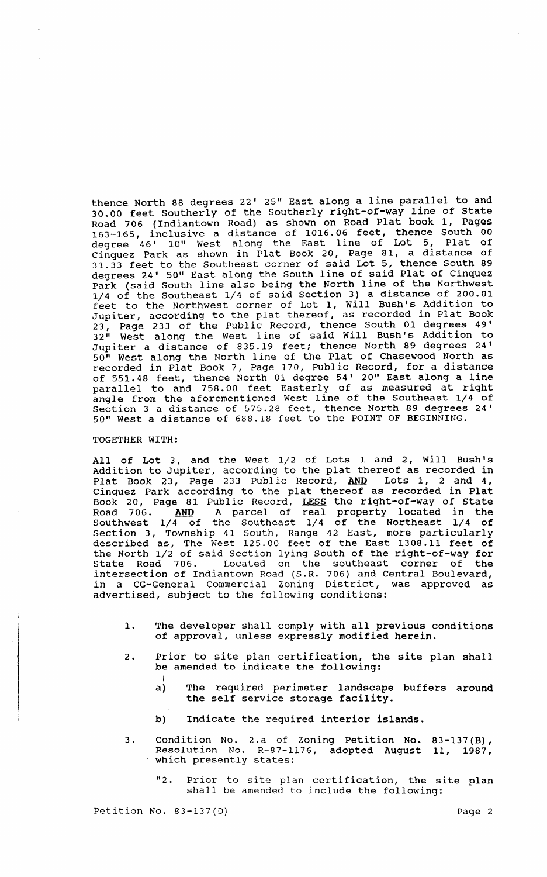thence North 88 degrees 22' 25" East along a line parallel to and 30.00 feet Southerly of the Southerly right-of-way line of state Road 706 (Indiantown Road) as shown on Road Plat book 1, Pages 163-165, inclusive a distance of 1016.06 feet, thence South 00 degree 46' 10" West along the East line of Lot 5, Plat of cinquez Park as shown in Plat Book 20, Page 81, a distance of 31.33 feet to the Southeast corner of said Lot 5, thence South 89 degrees 24' 50" East along the South line of said Plat of Cinquez Park (said South line also being the North line of the Northwest 1/4 of the Southeast 1/4 of said section 3) a distance of 200.01 feet to the Northwest corner of Lot 1, Will Bush's Addition to Jupiter, according to the plat thereof, as recorded in Plat Book 23, Page 233 of the Public Record, thence South 01 degrees 49' 32" west along the West line of said will Bush's Addition to Jupiter a distance of 835.19 feet; thence North 89 degrees 24' 50" West along the North line of the Plat of Chasewood North as recorded in Plat Book 7, Page 170, Public Record, for a distance of 551.48 feet, thence North 01 degree 54' 20" East along a line parallel to and 758.00 feet Easterly of as measured at right angle from the aforementioned West line of the Southeast 1/4 of section 3 a distance of 575.28 feet, thence North 89 degrees 24' 50" West a distance of 688.18 feet to the POINT OF BEGINNING.

# TOGETHER WITH:

All of Lot 3, and the West 1/2 of Lots 1 and 2, Will Bush's Addition to Jupiter, according to the plat thereof as recorded in Plat Book 23, Page 233 Public Record, AND Lots 1, 2 and 4, Cinquez Park according to the plat thereof as recorded in Plat Book 20, Page 81 Public Record, LESS the right-of-way of State Road 706. AND A parcel of real property located in the Southwest  $1/4$  of the Southeast  $1/4$  of the Northeast  $1/4$  of section 3, Township 41 South, Range 42 East, more particularly described as, The West 125.00 feet of the East 1308.11 feet of the North 1/2 of said section lying South of the right-of-way for state Road 706. Located on the southeast corner of the intersection of Indiantown Road (S.R. 706) and Central Boulevard, in a CG-General Commercial Zoning District, was approved as advertised, subject to the following conditions:

- 1. The developer shall comply with all previous conditions of approval, unless expressly modified herein.
- 2. Prior to site plan certification, the site plan shall be amended to indicate the following:
	- a) The required perimeter landscape buffers around the self service storage facility.
	- b) Indicate the required interior islands.
- 3. Condition No. 2.a of Zoning Petition No. Resolution No. R-87-1176, adopted August which presently states:  $83 - 137(B)$ , 11, 1987,
	- "2. Prior to site plan certification, the site plan shall be amended to include the following:

Petition No. 83-137(D) Page 2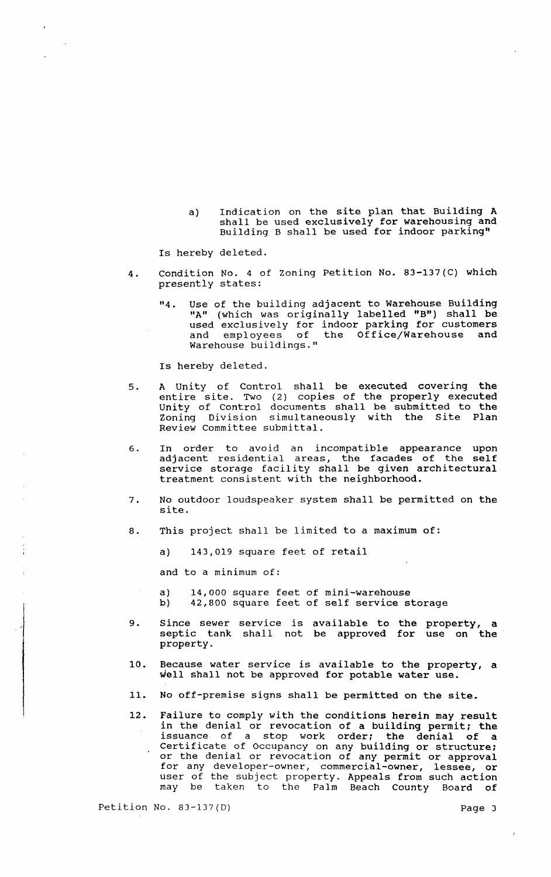a) Indication on the site plan that Building A shall be used exclusively for warehousing and Building B shall be used for indoor parking"

Is hereby deleted.

- 4. Condition No.4 of Zoning Petition No. 83-137(C) which presently states:
	- "4. Use of the building adjacent to Warehouse Building "A" (which was originally labelled "B") shall be used exclusively for indoor parking for customers and employees of the Office/Warehouse and Warehouse buildings."

Is hereby deleted.

- 5. A unity of Control shall be executed covering the entire site. Two (2) copies of the properly executed Unity of Control documents shall be submitted to the Zoning Division simultaneously with the site Plan Review Committee submittal.
- 6. In order to avoid an incompatible appearance upon adjacent residential areas, the facades of the self service storage facility shall be given architectural treatment consistent with the neighborhood.
- 7. No outdoor loudspeaker system shall be permitted on the site.
- 8. This project shall be limited to a maximum of:
	- a) 143,019 square feet of retail

and to a minimum of:

- a) 14,000 square feet of mini-warehouse<br>b) 42.800 square feet of self service st 42,800 square feet of self service storage
- 9. Since sewer service is available to the property, a septic tank shall not be approved for use on the property.
- 10. Because water service is available to the property, a well shall not be approved for potable water use.
- 11. No off-premise signs shall be permitted on the site.
- 12. Failure to comply with the conditions herein may result in the denial or revocation of a building permit; the issuance of a stop work order; the denial of a Certificate of Occupancy on any building or structure; or the denial or revocation of any permit or approval for any developer-owner, commercial-owner, lessee, or user of the subject property. Appeals from such action may be taken to the Palm Beach County Board of

Petition No. 83-137(D) Page 3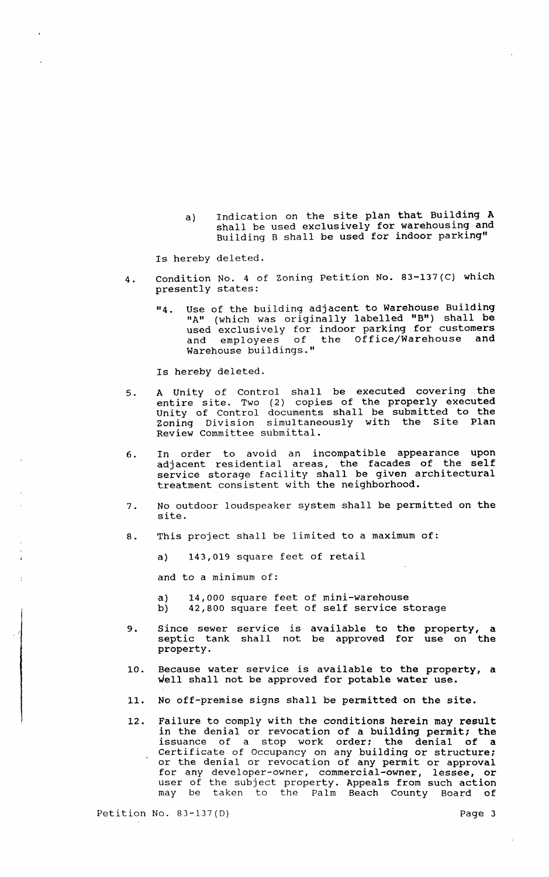a) Indication on the site plan that Building A shall be used exclusively for warehousing and Building B shall be used for indoor parking"

Is hereby deleted.

- 4. Condition No.4 of zoning Petition No. 83-137(C) which presently states:
	- "4. Use of the building adjacent to Warehouse Building "A" (which was originally labelled "B") shall be used exclusively for indoor parking for customers and employees of the Office/Warehouse and and employees of the Office/Warehouse<br>Warehouse buildings."

Is hereby deleted.

- 5. A Unity of Control shall be executed covering the entire site. Two (2) copies of the properly executed unity of Control documents shall be submitted to the Zoning Division simultaneously with the Site Plan Review Committee submittal.
- 6. In order to avoid an incompatible appearance upon adjacent residential areas, the facades of the self adjassne reseasneder i temp, ille shahline architectural treatment consistent with the neighborhood.
- 7. No outdoor loudspeaker system shall be permitted on the site.
- 8. This project shall be limited to a maximum of:
	- a) 143,019 square feet of retail

and to a minimum of:

- a) 14,000 square feet of mini-warehouse<br>b) 42,800 square feet of self service s<sup>4</sup>
	- 42,800 square feet of self service storage
- 9. Since sewer service is available to the property, a septic tank shall not be approved for use on the property.
- 10. Because water service is available to the property, a well shall not be approved for potable water use.
- 11. No off-premise signs shall be permitted on the site.
- 12. Failure to comply with the conditions herein may result in the denial or revocation of a building permit; the issuance of a stop work order: the denial of a Certificate of Occupancy on any building or structure; or the denial or revocation of any permit or approval for any developer-owner, commercial-owner, lessee, or user of the subject property. Appeals from such action may be taken to the Palm Beach County Board of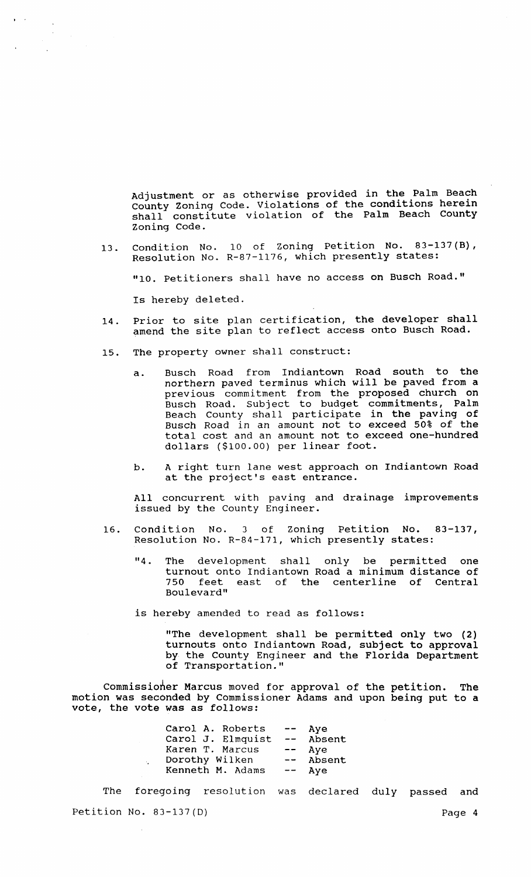Adjustment or as otherwise provided in the Palm Beach County Zoning Code. Violations of the conditions herein shall constitute violation of the Palm Beach County zoning Code.

13. Condition No. 10 of zoning Petition No. 83-137(B), Resolution No. R-87-1176, which presently states:

"10. Petitioners shall have no access on Busch Road."

Is hereby deleted.

- 14. Prior to site plan certification, the developer shall amend the site plan to reflect access onto Busch Road.
- 15. The property owner shall construct:
	- a. Busch Road from Indiantown Road south to the northern paved terminus which will be paved from a prev ious commitment from the proposed church on Busch Road. Subject to budget commitments, Palm Beach County shall participate in the paving of Busch Road in an amount not to exceed 50% of the total cost and an amount not to exceed one-hundred dollars (\$100.00) per linear foot.
	- b. A right turn lane west approach on Indiantown Road at the project's east entrance.

All concurrent with paving and drainage improvements issued by the County Engineer.

- 16. Condition No. 3 of Zoning Petition No. 83-137, Resolution No. R-84-171, which presently states:
	- "4. The development shall only be permitted one turnout onto Indiantown Road a minimum distance of 750 feet east of the centerline of Central Boulevard"

is hereby amended to read as follows:

"The development shall be permitted only two (2) turnouts onto Indiantown Road, subject to approval by the County Engineer and the Florida Department of Transportation."

Commissioner Marcus moved for approval of the petition. The motion was seconded by Commissioner Adams and upon being put to a vote, the vote was as follows:

| Carol A. Roberts  | $\overline{\phantom{m}}$ | Aye    |
|-------------------|--------------------------|--------|
| Carol J. Elmquist | $\overline{\phantom{m}}$ | Absent |
| Karen T. Marcus   | $- -$                    | Aye    |
| Dorothy Wilken    | $  \,$                   | Absent |
| Kenneth M. Adams  | $\overline{\phantom{m}}$ | Aye    |

The foregoing resolution was declared duly passed and Petition No. 83-137(D) Page 4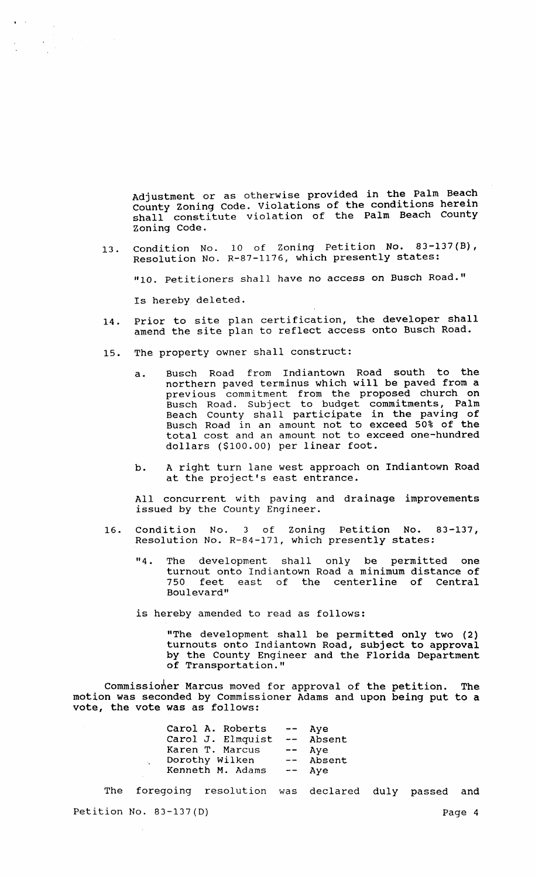Adjustment or as otherwise provided in the Palm Beach Rujubumont of the conditions herein shall constitute violation of the Palm Beach County zoning Code.

13. Condition No. 10 of zoning Petition No. 83-137(B), Resolution No. R-87-1176, which presently states:

"10. Petitioners shall have no access on Busch Road."

Is hereby deleted.

- 14. Prior to site plan certification, the developer shall amend the site plan to reflect access onto Busch Road.
- 15. The property owner shall construct:
	- a. Busch Road from Indiantown Road south to the northern paved terminus which will be paved from a previous commitment from the proposed church on Busch Road. Subject to budget commitments, Palm Beach County shall participate in the paving of Busch Road in an amount not to exceed 50% of the total cost and an amount not to exceed one-hundred dollars (\$100.00) per linear foot.
	- b. A right turn lane west approach on Indiantown Road at the project's east entrance.

All concurrent with paving and drainage improvements issued by the County Engineer.

- 16. Condition No. 3 of zoning Petition No. 83-137, Resolution No. R-84-171, which presently states:
	- "4. The development shall only be permitted one turnout onto Indiantown Road a minimum distance of<br>750 feet east of the centerline of Central feet east of the centerline of Central Boulevard"

is hereby amended to read as follows:

"The development shall be permitted only two (2) turnouts onto Indiantown Road, subject to approval by the County Engineer and the Florida Department of Transportation."

Commissioner Marcus moved for approval of the petition. The motion was seconded by Commissioner Adams and upon being put to a vote, the vote was as follows:

| Carol A. Roberts  | $\frac{1}{2}$            | Aye    |
|-------------------|--------------------------|--------|
| Carol J. Elmquist | $\frac{1}{2}$            | Absent |
| Karen T. Marcus   | $\overline{\phantom{m}}$ | Aye    |
| Dorothy Wilken    | $\frac{1}{2}$            | Absent |
| Kenneth M. Adams  | $---$                    | Aye    |

 $\mathcal{L}_{\mathbf{z}}$ 

The foregoing resolution was declared duly passed and Petition No. 83-137(D) Page 4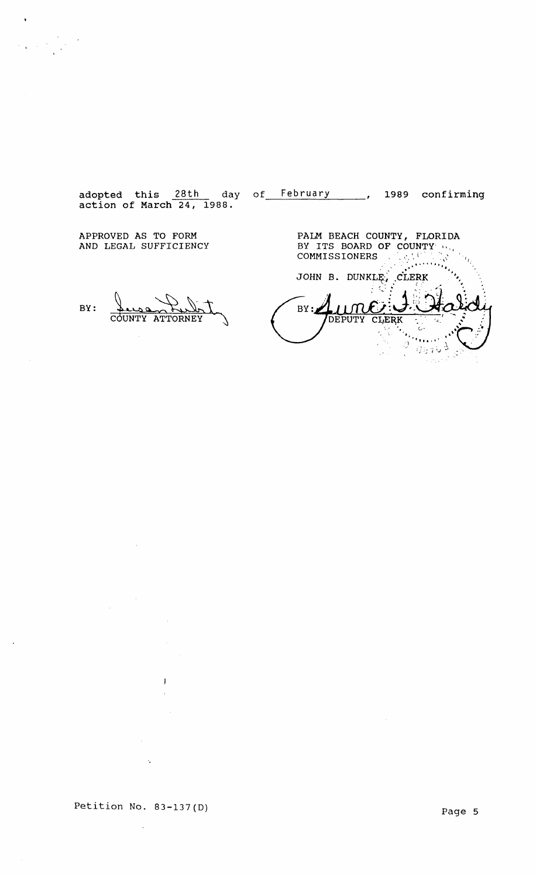adopted this 28th day of February 1989 confirming action of March 24, 1988.

APPROVED AS TO FORM AND LEGAL SUFFICIENCY

PALM BEACH COUNTY, FLORIDA BY ITS BOARD OF COUNTY "...<br>COMMISSIONERS , AND THE TEAM **.'\_ ... I."**  JOHN B. DEPUTY CLERK  $\frac{1}{\sqrt{2}}$ 다.<br>사망자  $\mathbf C$  $\bar{z}$  $\sqrt{15}$   $\sqrt{9}$  $\mathcal{A}^{\mathcal{A}}$ 

BY:

 $\ddot{\phantom{1}}$ 

 $\ddot{\phantom{0}}$ 

Luce Dubit

Petition No. 83-137(D)

 $\bar{z}$ 

 $\mathcal{A}_\bullet$ 

 $\overline{\phantom{a}}$